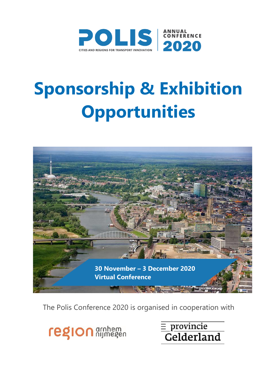

# **Sponsorship & Exhibition Opportunities**



The Polis Conference 2020 is organised in cooperation with

**region** architecton

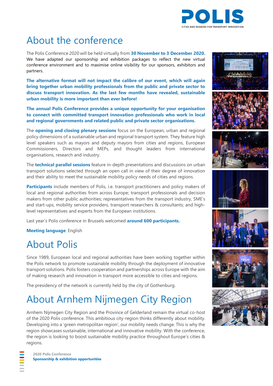

## About the conference

The Polis Conference 2020 will be held virtually from **30 November to 3 December 2020.** We have adapted our sponsorship and exhibition packages to reflect the new virtual conference environment and to maximise online visibility for our sponsors, exhibitors and partners.

**The alternative format will not impact the calibre of our event, which will again bring together urban mobility professionals from the public and private sector to discuss transport innovation. As the last few months have revealed, sustainable urban mobility is more important than ever before!**

**The annual Polis Conference provides a unique opportunity for your organisation to connect with committed transport innovation professionals who work in local and regional governments and related public and private sector organisations.**

The **opening and closing plenary sessions** focus on the European, urban and regional policy dimensions of a sustainable urban and regional transport system. They feature high level speakers such as mayors and deputy mayors from cities and regions, European Commissioners, Directors and MEPs, and thought leaders from international organisations, research and industry.

The **technical parallel sessions** feature in-depth presentations and discussions on urban transport solutions selected through an open call in view of their degree of innovation and their ability to meet the sustainable mobility policy needs of cities and regions.

**Participants** include members of Polis, i.e. transport practitioners and policy makers of local and regional authorities from across Europe; transport professionals and decision makers from other public authorities; representatives from the transport industry, SME's and start-ups, mobility service providers, transport researchers & consultants; and highlevel representatives and experts from the European institutions.

Last year's Polis conference in Brussels welcomed **around 600 participants.**

**Meeting language**: English

## About Polis

Since 1989, European local and regional authorities have been working together within the Polis network to promote sustainable mobility through the deployment of innovative transport solutions. Polis fosters cooperation and partnerships across Europe with the aim of making research and innovation in transport more accessible to cities and regions.

The presidency of the network is currently held by the city of Gothenburg.

## About Arnhem Nijmegen City Region

Arnhem Nijmegen City Region and the Province of Gelderland remain the virtual co-host of the 2020 Polis conference. This ambitious city-region thinks differently about mobility. Developing into a 'green metropolitan region', our mobility needs change. This is why the region showcases sustainable, international and innovative mobility. With the conference, the region is looking to boost sustainable mobility practice throughout Europe's cities & regions.













**2020 Polis Conference Sponsorship & exhibition opportunities**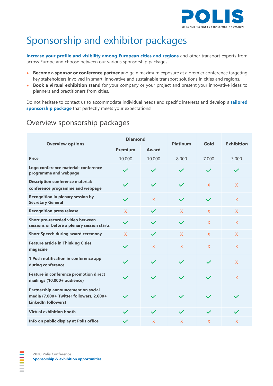

# Sponsorship and exhibitor packages

**Increase your profile and visibility among European cities and regions** and other transport experts from across Europe and choose between our various sponsorship packages!

- **Become a sponsor or conference partner** and gain maximum exposure at a premier conference targeting key stakeholders involved in smart, innovative and sustainable transport solutions in cities and regions.
- **Book a virtual exhibition stand** for your company or your project and present your innovative ideas to planners and practitioners from cities.

Do not hesitate to contact us to accommodate individual needs and specific interests and develop a **tailored sponsorship package** that perfectly meets your expectations!

#### Overview sponsorship packages

| <b>Overview options</b>                                                                                     | <b>Diamond</b> |                | <b>Platinum</b> | Gold           | <b>Exhibition</b> |
|-------------------------------------------------------------------------------------------------------------|----------------|----------------|-----------------|----------------|-------------------|
|                                                                                                             | <b>Premium</b> | <b>Award</b>   |                 |                |                   |
| <b>Price</b>                                                                                                | 10.000         | 10.000         | 8.000           | 7.000          | 3.000             |
| Logo conference material: conference<br>programme and webpage                                               | $\checkmark$   | $\checkmark$   | $\checkmark$    | $\checkmark$   | $\checkmark$      |
| <b>Description conference material:</b><br>conference programme and webpage                                 | $\checkmark$   | $\checkmark$   | $\checkmark$    | $\mathsf{X}$   | X                 |
| <b>Recognition in plenary session by</b><br><b>Secretary General</b>                                        | $\checkmark$   | X              | $\checkmark$    | $\checkmark$   | X                 |
| <b>Recognition press release</b>                                                                            | X              | $\checkmark$   | $\mathsf{X}$    | $\mathsf{X}$   | X                 |
| Short pre-recorded video between<br>sessions or before a plenary session starts                             | $\checkmark$   |                | $\checkmark$    | $\mathsf{X}$   | X                 |
| <b>Short Speech during award ceremony</b>                                                                   | $\mathsf{X}$   | $\checkmark$   | $\overline{X}$  | $\overline{X}$ | X                 |
| <b>Feature article in Thinking Cities</b><br>magazine                                                       | $\checkmark$   | $\overline{X}$ | $\overline{X}$  | $\overline{X}$ | $\overline{X}$    |
| 1 Push notification in conference app<br>during conference                                                  | $\checkmark$   | $\checkmark$   | $\checkmark$    | $\checkmark$   | $\mathsf{X}$      |
| <b>Feature in conference promotion direct</b><br>mailings (10.000+ audience)                                | $\checkmark$   | $\checkmark$   | $\checkmark$    | $\checkmark$   | $\mathsf{X}$      |
| Partnership announcement on social<br>media (7.000+ Twitter followers, 2.600+<br><b>LinkedIn followers)</b> | $\checkmark$   | $\checkmark$   | $\checkmark$    | $\checkmark$   |                   |
| <b>Virtual exhibition booth</b>                                                                             | $\checkmark$   | $\checkmark$   | $\checkmark$    | $\checkmark$   | $\checkmark$      |
| Info on public display at Polis office                                                                      | $\checkmark$   | X              | X               | X              | X                 |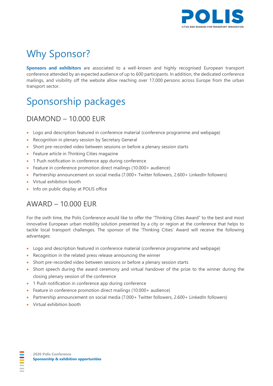

## Why Sponsor?

**Sponsors and exhibitors** are associated to a well-known and highly recognised European transport conference attended by an expected audience of up to 600 participants. In addition, the dedicated conference mailings, and visibility off the website allow reaching over 17,000 persons across Europe from the urban transport sector.

# Sponsorship packages

## DIAMOND – 10.000 EUR

- Logo and description featured in conference material (conference programme and webpage)
- Recognition in plenary session by Secretary General
- Short pre-recorded video between sessions or before a plenary session starts
- Feature article in Thinking Cities magazine
- 1 Push notification in conference app during conference
- Feature in conference promotion direct mailings (10.000+ audience)
- Partnership announcement on social media (7.000+ Twitter followers, 2.600+ LinkedIn followers)
- Virtual exhibition booth
- Info on public display at POLIS office

#### AWARD – 10.000 EUR

For the sixth time, the Polis Conference would like to offer the "Thinking Cities Award" to the best and most innovative European urban mobility solution presented by a city or region at the conference that helps to tackle local transport challenges. The sponsor of the 'Thinking Cities' Award will receive the following advantages:

- Logo and description featured in conference material (conference programme and webpage)
- Recognition in the related press release announcing the winner
- Short pre-recorded video between sessions or before a plenary session starts
- Short speech during the award ceremony and virtual handover of the prize to the winner during the closing plenary session of the conference
- 1 Push notification in conference app during conference
- Feature in conference promotion direct mailings (10.000+ audience)
- Partnership announcement on social media (7.000+ Twitter followers, 2.600+ LinkedIn followers)
- Virtual exhibition booth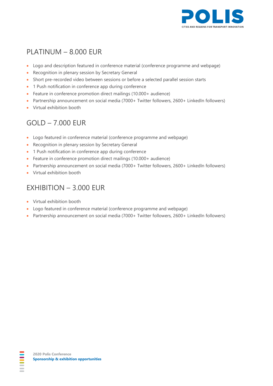

## PLATINUM – 8.000 EUR

- Logo and description featured in conference material (conference programme and webpage)
- Recognition in plenary session by Secretary General
- Short pre-recorded video between sessions or before a selected parallel session starts
- 1 Push notification in conference app during conference
- Feature in conference promotion direct mailings (10.000+ audience)
- Partnership announcement on social media (7000+ Twitter followers, 2600+ LinkedIn followers)
- Virtual exhibition booth

## GOLD – 7.000 EUR

- Logo featured in conference material (conference programme and webpage)
- Recognition in plenary session by Secretary General
- 1 Push notification in conference app during conference
- Feature in conference promotion direct mailings (10.000+ audience)
- Partnership announcement on social media (7000+ Twitter followers, 2600+ LinkedIn followers)
- Virtual exhibition booth

#### EXHIBITION – 3.000 EUR

- Virtual exhibition booth
- Logo featured in conference material (conference programme and webpage)
- Partnership announcement on social media (7000+ Twitter followers, 2600+ LinkedIn followers)